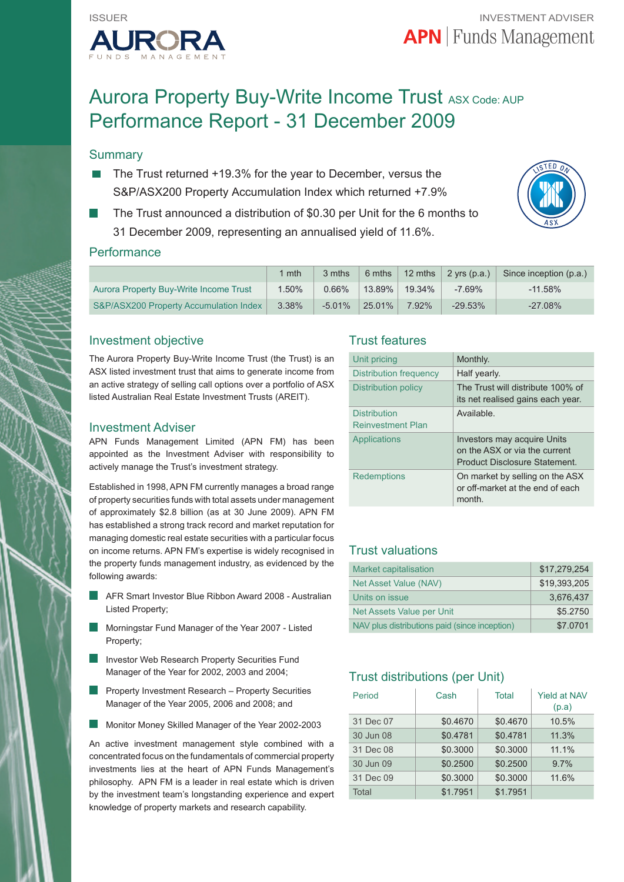

# Aurora Property Buy-Write Income Trust ASX Code: AUP Performance Report - 31 December 2009

## **Summary**

- The Trust returned +19.3% for the year to December, versus the S&P/ASX200 Property Accumulation Index which returned +7.9%
- The Trust announced a distribution of \$0.30 per Unit for the 6 months to 31 December 2009, representing an annualised yield of 11.6%.



## **Performance**

|                                        | mth   | 3 mths    |           |        | 6 mths $\vert$ 12 mths $\vert$ 2 yrs (p.a.) | Since inception (p.a.) |
|----------------------------------------|-------|-----------|-----------|--------|---------------------------------------------|------------------------|
| Aurora Property Buy-Write Income Trust | 1.50% | $0.66\%$  | $13.89\%$ | 19.34% | $-7.69%$                                    | $-11.58\%$             |
| S&P/ASX200 Property Accumulation Index | 3.38% | $-5.01\%$ | $25.01\%$ | 7.92%  | $-29.53%$                                   | $-27.08\%$             |

## Investment objective

The Aurora Property Buy-Write Income Trust (the Trust) is an ASX listed investment trust that aims to generate income from an active strategy of selling call options over a portfolio of ASX listed Australian Real Estate Investment Trusts (AREIT).

#### Investment Adviser

APN Funds Management Limited (APN FM) has been appointed as the Investment Adviser with responsibility to actively manage the Trust's investment strategy.

Established in 1998, APN FM currently manages a broad range of property securities funds with total assets under management of approximately \$2.8 billion (as at 30 June 2009). APN FM has established a strong track record and market reputation for managing domestic real estate securities with a particular focus on income returns. APN FM's expertise is widely recognised in the property funds management industry, as evidenced by the following awards:

- AFR Smart Investor Blue Ribbon Award 2008 Australian Listed Property;
- Morningstar Fund Manager of the Year 2007 Listed Property;
- Investor Web Research Property Securities Fund Manager of the Year for 2002, 2003 and 2004;
- Property Investment Research Property Securities Manager of the Year 2005, 2006 and 2008; and
- Monitor Money Skilled Manager of the Year 2002-2003

An active investment management style combined with a concentrated focus on the fundamentals of commercial property investments lies at the heart of APN Funds Management's philosophy. APN FM is a leader in real estate which is driven by the investment team's longstanding experience and expert knowledge of property markets and research capability.

## Trust features

| Unit pricing                                    | Monthly.                                                                                      |
|-------------------------------------------------|-----------------------------------------------------------------------------------------------|
| Distribution frequency                          | Half yearly.                                                                                  |
| Distribution policy                             | The Trust will distribute 100% of<br>its net realised gains each year.                        |
| <b>Distribution</b><br><b>Reinvestment Plan</b> | Available.                                                                                    |
| Applications                                    | Investors may acquire Units<br>on the ASX or via the current<br>Product Disclosure Statement. |
| Redemptions                                     | On market by selling on the ASX<br>or off-market at the end of each<br>month.                 |

## Trust valuations

| <b>Market capitalisation</b>                  | \$17.279.254 |
|-----------------------------------------------|--------------|
| Net Asset Value (NAV)                         | \$19.393.205 |
| Units on issue                                | 3.676.437    |
| Net Assets Value per Unit                     | \$5.2750     |
| NAV plus distributions paid (since inception) | \$7,0701     |

## Trust distributions (per Unit)

| Period    | Cash     | Total    | <b>Yield at NAV</b><br>(p.a) |
|-----------|----------|----------|------------------------------|
| 31 Dec 07 | \$0.4670 | \$0.4670 | 10.5%                        |
| 30 Jun 08 | \$0.4781 | \$0.4781 | 11.3%                        |
| 31 Dec 08 | \$0.3000 | \$0.3000 | 11.1%                        |
| 30 Jun 09 | \$0.2500 | \$0.2500 | 9.7%                         |
| 31 Dec 09 | \$0.3000 | \$0.3000 | 11.6%                        |
| Total     | \$1.7951 | \$1.7951 |                              |